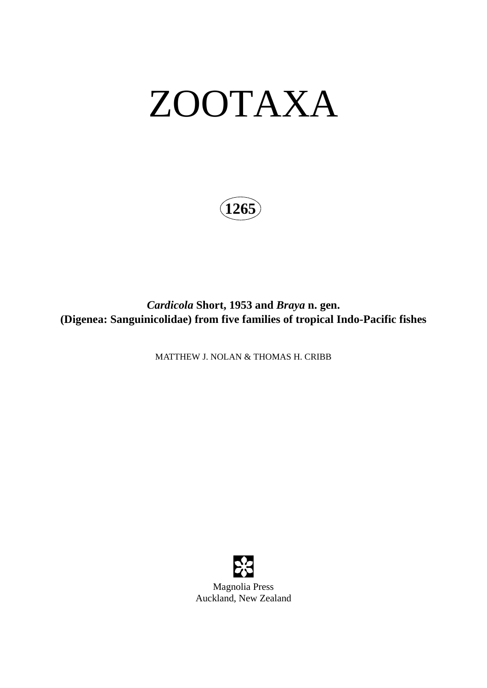# ZOOTAXA

**1265**

*Cardicola* **Short, 1953 and** *Braya* **n. gen. (Digenea: Sanguinicolidae) from five families of tropical Indo-Pacific fishes**

MATTHEW J. NOLAN & THOMAS H. CRIBB

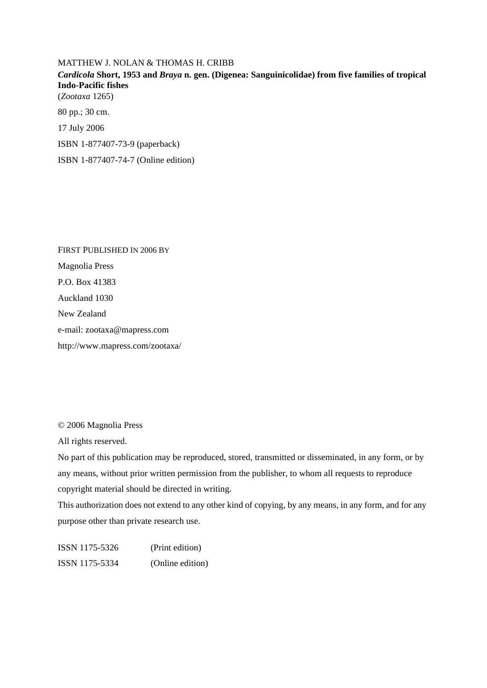#### MATTHEW J. NOLAN & THOMAS H. CRIBB

### *Cardicola* **Short, 1953 and** *Braya* **n. gen. (Digenea: Sanguinicolidae) from five families of tropical Indo-Pacific fishes**

(*Zootaxa* 1265)

80 pp.; 30 cm.

17 July 2006

ISBN 1-877407-73-9 (paperback)

ISBN 1-877407-74-7 (Online edition)

FIRST PUBLISHED IN 2006 BY Magnolia Press P.O. Box 41383 Auckland 1030 New Zealand e-mail: zootaxa@mapress.com http://www.mapress.com/zootaxa/

© 2006 Magnolia Press

All rights reserved.

No part of this publication may be reproduced, stored, transmitted or disseminated, in any form, or by any means, without prior written permission from the publisher, to whom all requests to reproduce copyright material should be directed in writing.

This authorization does not extend to any other kind of copying, by any means, in any form, and for any purpose other than private research use.

| ISSN 1175-5326 | (Print edition)  |
|----------------|------------------|
| ISSN 1175-5334 | (Online edition) |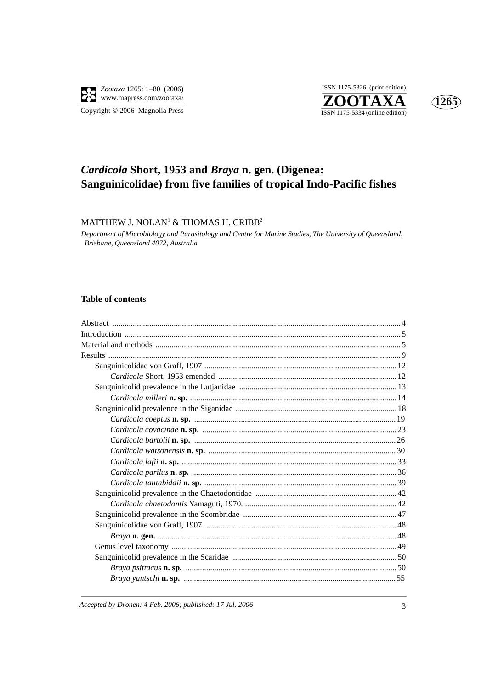

ISSN 1175-5326 (print edition) ZOOTAXA  $\overline{\text{ISSN }1175\text{-}5334}$  (online edition)



## Cardicola Short, 1953 and Braya n. gen. (Digenea: Sanguinicolidae) from five families of tropical Indo-Pacific fishes

MATTHEW J. NOLAN<sup>1</sup> & THOMAS H. CRIBB<sup>2</sup>

Department of Microbiology and Parasitology and Centre for Marine Studies, The University of Queensland, Brisbane, Queensland 4072, Australia

#### **Table of contents**

Accepted by Dronen: 4 Feb. 2006; published: 17 Jul. 2006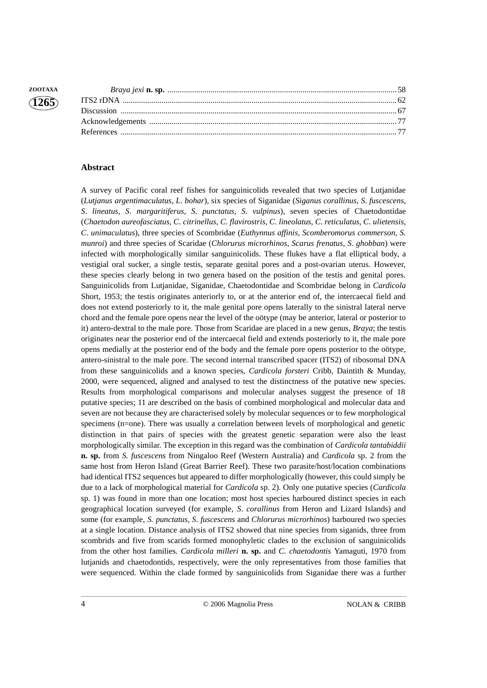#### **Abstract**

A survey of Pacific coral reef fishes for sanguinicolids revealed that two species of Lutjanidae (*Lutjanus argentimaculatus*, *L*. *bohar*), six species of Siganidae (*Siganus corallinus*, *S*. *fuscescens*, *S*. *lineatus*, *S*. *margaritiferus*, *S*. *punctatus*, *S*. *vulpinus*), seven species of Chaetodontidae (*Chaetodon aureofasciatus*, *C*. *citrinellus*, *C*. *flavirostris*, *C*. *lineolatus*, *C*. *reticulatus*, *C*. *ulietensis*, *C*. *unimaculatus*), three species of Scombridae (*Euthynnus affinis*, *Scomberomorus commerson*, *S. munroi*) and three species of Scaridae (*Chlorurus microrhinos*, *Scarus frenatus*, *S*. *ghobban*) were infected with morphologically similar sanguinicolids. These flukes have a flat elliptical body, a vestigial oral sucker, a single testis, separate genital pores and a post-ovarian uterus. However, these species clearly belong in two genera based on the position of the testis and genital pores. Sanguinicolids from Lutjanidae, Siganidae, Chaetodontidae and Scombridae belong in *Cardicola* Short, 1953; the testis originates anteriorly to, or at the anterior end of, the intercaecal field and does not extend posteriorly to it, the male genital pore opens laterally to the sinistral lateral nerve chord and the female pore opens near the level of the oötype (may be anterior, lateral or posterior to it) antero-dextral to the male pore. Those from Scaridae are placed in a new genus, *Braya*; the testis originates near the posterior end of the intercaecal field and extends posteriorly to it, the male pore opens medially at the posterior end of the body and the female pore opens posterior to the oötype, antero-sinistral to the male pore. The second internal transcribed spacer (ITS2) of ribosomal DNA from these sanguinicolids and a known species, *Cardicola forsteri* Cribb, Daintith & Munday, 2000, were sequenced, aligned and analysed to test the distinctness of the putative new species. Results from morphological comparisons and molecular analyses suggest the presence of 18 putative species; 11 are described on the basis of combined morphological and molecular data and seven are not because they are characterised solely by molecular sequences or to few morphological specimens (n=one). There was usually a correlation between levels of morphological and genetic distinction in that pairs of species with the greatest genetic separation were also the least morphologically similar. The exception in this regard was the combination of *Cardicola tantabiddii* **n. sp.** from *S. fuscescens* from Ningaloo Reef (Western Australia) and *Cardicola* sp. 2 from the same host from Heron Island (Great Barrier Reef). These two parasite/host/location combinations had identical ITS2 sequences but appeared to differ morphologically (however, this could simply be due to a lack of morphological material for *Cardicola* sp. 2). Only one putative species (*Cardicola* sp. 1) was found in more than one location; most host species harboured distinct species in each geographical location surveyed (for example, *S*. *corallinus* from Heron and Lizard Islands) and some (for example, *S. punctatus*, *S*. *fuscescens* and *Chlorurus microrhinos*) harboured two species at a single location. Distance analysis of ITS2 showed that nine species from siganids, three from scombrids and five from scarids formed monophyletic clades to the exclusion of sanguinicolids from the other host families. *Cardicola milleri* **n. sp.** and *C. chaetodontis* Yamaguti, 1970 from lutjanids and chaetodontids, respectively, were the only representatives from those families that were sequenced. Within the clade formed by sanguinicolids from Siganidae there was a further